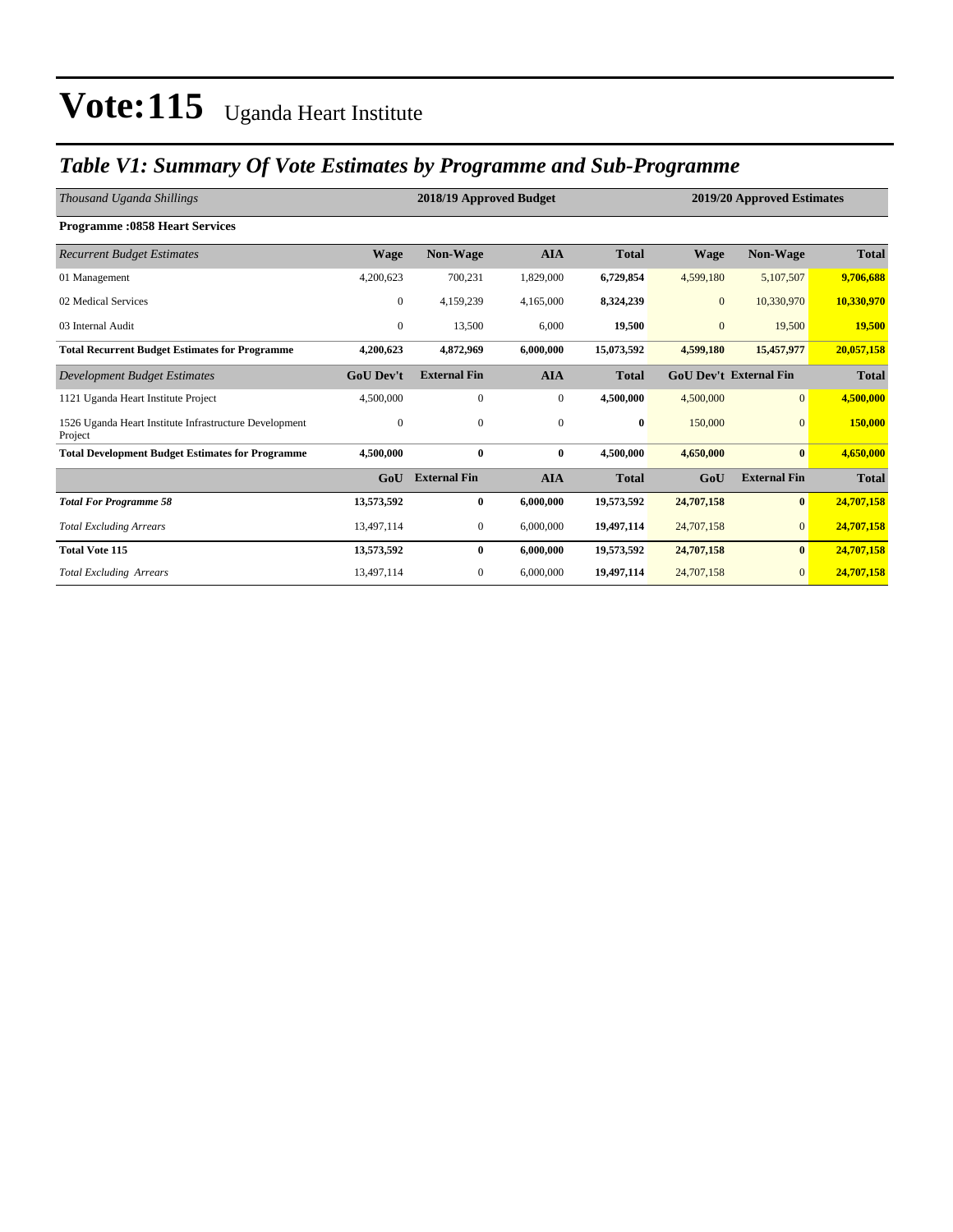### *Table V1: Summary Of Vote Estimates by Programme and Sub-Programme*

| Thousand Uganda Shillings                                         |                  | 2018/19 Approved Budget | 2019/20 Approved Estimates |              |                |                               |              |
|-------------------------------------------------------------------|------------------|-------------------------|----------------------------|--------------|----------------|-------------------------------|--------------|
| <b>Programme: 0858 Heart Services</b>                             |                  |                         |                            |              |                |                               |              |
| <b>Recurrent Budget Estimates</b>                                 | <b>Wage</b>      | <b>Non-Wage</b>         | <b>AIA</b>                 | <b>Total</b> | <b>Wage</b>    | Non-Wage                      | <b>Total</b> |
| 01 Management                                                     | 4,200,623        | 700,231                 | 1,829,000                  | 6,729,854    | 4,599,180      | 5,107,507                     | 9,706,688    |
| 02 Medical Services                                               | $\overline{0}$   | 4,159,239               | 4,165,000                  | 8,324,239    | $\mathbf{0}$   | 10,330,970                    | 10,330,970   |
| 03 Internal Audit                                                 | $\mathbf{0}$     | 13,500                  | 6,000                      | 19,500       | $\overline{0}$ | 19,500                        | 19,500       |
| <b>Total Recurrent Budget Estimates for Programme</b>             | 4,200,623        | 4,872,969               | 6,000,000                  | 15,073,592   | 4,599,180      | 15,457,977                    | 20,057,158   |
| Development Budget Estimates                                      | <b>GoU Dev't</b> | <b>External Fin</b>     | <b>AIA</b>                 | <b>Total</b> |                | <b>GoU Dev't External Fin</b> | <b>Total</b> |
| 1121 Uganda Heart Institute Project                               | 4,500,000        | $\mathbf{0}$            | $\boldsymbol{0}$           | 4,500,000    | 4,500,000      | $\overline{0}$                | 4,500,000    |
| 1526 Uganda Heart Institute Infrastructure Development<br>Project | $\mathbf{0}$     | $\mathbf{0}$            | $\boldsymbol{0}$           | $\bf{0}$     | 150,000        | $\mathbf{0}$                  | 150,000      |
| <b>Total Development Budget Estimates for Programme</b>           | 4.500,000        | $\bf{0}$                | $\bf{0}$                   | 4.500.000    | 4,650,000      | $\bf{0}$                      | 4,650,000    |
|                                                                   | GoU              | <b>External Fin</b>     | <b>AIA</b>                 | <b>Total</b> | GoU            | <b>External Fin</b>           | <b>Total</b> |
| <b>Total For Programme 58</b>                                     | 13,573,592       | $\bf{0}$                | 6,000,000                  | 19,573,592   | 24,707,158     | $\bf{0}$                      | 24,707,158   |
| <b>Total Excluding Arrears</b>                                    | 13,497,114       | $\mathbf{0}$            | 6,000,000                  | 19,497,114   | 24,707,158     | $\mathbf{0}$                  | 24,707,158   |
| <b>Total Vote 115</b>                                             | 13,573,592       | $\bf{0}$                | 6,000,000                  | 19,573,592   | 24,707,158     | $\bf{0}$                      | 24,707,158   |
| <b>Total Excluding Arrears</b>                                    | 13,497,114       | $\mathbf{0}$            | 6,000,000                  | 19,497,114   | 24,707,158     | $\overline{0}$                | 24,707,158   |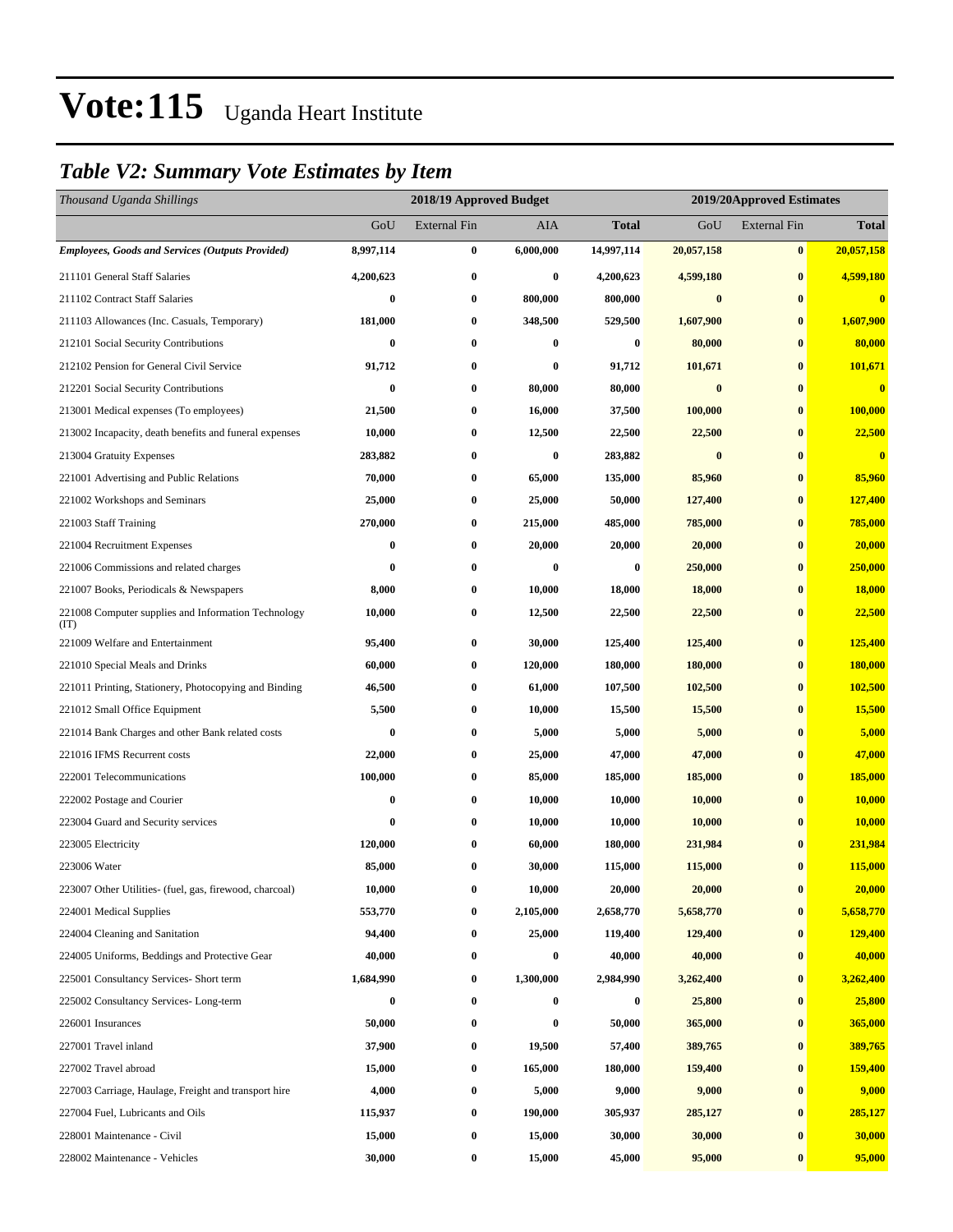### *Table V2: Summary Vote Estimates by Item*

| Thousand Uganda Shillings                                   |           | 2018/19 Approved Budget |           |                  | 2019/20Approved Estimates |                     |              |  |
|-------------------------------------------------------------|-----------|-------------------------|-----------|------------------|---------------------------|---------------------|--------------|--|
|                                                             | GoU       | <b>External Fin</b>     | AIA       | Total            | GoU                       | <b>External Fin</b> | <b>Total</b> |  |
| <b>Employees, Goods and Services (Outputs Provided)</b>     | 8,997,114 | $\bf{0}$                | 6,000,000 | 14,997,114       | 20,057,158                | $\bf{0}$            | 20,057,158   |  |
| 211101 General Staff Salaries                               | 4,200,623 | $\bf{0}$                | $\bf{0}$  | 4,200,623        | 4,599,180                 | $\bf{0}$            | 4,599,180    |  |
| 211102 Contract Staff Salaries                              | $\bf{0}$  | $\bf{0}$                | 800,000   | 800,000          | $\bf{0}$                  | $\bf{0}$            | $\bf{0}$     |  |
| 211103 Allowances (Inc. Casuals, Temporary)                 | 181,000   | $\boldsymbol{0}$        | 348,500   | 529,500          | 1,607,900                 | $\bf{0}$            | 1,607,900    |  |
| 212101 Social Security Contributions                        | $\bf{0}$  | $\bf{0}$                | $\bf{0}$  | $\boldsymbol{0}$ | 80,000                    | $\bf{0}$            | 80,000       |  |
| 212102 Pension for General Civil Service                    | 91,712    | $\bf{0}$                | $\bf{0}$  | 91,712           | 101,671                   | $\bf{0}$            | 101,671      |  |
| 212201 Social Security Contributions                        | $\bf{0}$  | $\bf{0}$                | 80,000    | 80,000           | $\bf{0}$                  | $\bf{0}$            | $\bf{0}$     |  |
| 213001 Medical expenses (To employees)                      | 21,500    | $\bf{0}$                | 16,000    | 37,500           | 100,000                   | $\bf{0}$            | 100,000      |  |
| 213002 Incapacity, death benefits and funeral expenses      | 10,000    | $\boldsymbol{0}$        | 12,500    | 22,500           | 22,500                    | $\bf{0}$            | 22,500       |  |
| 213004 Gratuity Expenses                                    | 283,882   | $\bf{0}$                | $\bf{0}$  | 283,882          | $\bf{0}$                  | $\bf{0}$            | $\bf{0}$     |  |
| 221001 Advertising and Public Relations                     | 70,000    | $\bf{0}$                | 65,000    | 135,000          | 85,960                    | $\bf{0}$            | 85,960       |  |
| 221002 Workshops and Seminars                               | 25,000    | $\bf{0}$                | 25,000    | 50,000           | 127,400                   | $\bf{0}$            | 127,400      |  |
| 221003 Staff Training                                       | 270,000   | $\bf{0}$                | 215,000   | 485,000          | 785,000                   | $\bf{0}$            | 785,000      |  |
| 221004 Recruitment Expenses                                 | 0         | $\boldsymbol{0}$        | 20,000    | 20,000           | 20,000                    | $\bf{0}$            | 20,000       |  |
| 221006 Commissions and related charges                      | 0         | $\bf{0}$                | $\bf{0}$  | 0                | 250,000                   | $\bf{0}$            | 250,000      |  |
| 221007 Books, Periodicals & Newspapers                      | 8,000     | $\bf{0}$                | 10,000    | 18,000           | 18,000                    | $\bf{0}$            | 18,000       |  |
| 221008 Computer supplies and Information Technology<br>(TT) | 10,000    | $\bf{0}$                | 12,500    | 22,500           | 22,500                    | $\bf{0}$            | 22,500       |  |
| 221009 Welfare and Entertainment                            | 95,400    | $\boldsymbol{0}$        | 30,000    | 125,400          | 125,400                   | $\bf{0}$            | 125,400      |  |
| 221010 Special Meals and Drinks                             | 60,000    | $\bf{0}$                | 120,000   | 180,000          | 180,000                   | $\bf{0}$            | 180,000      |  |
| 221011 Printing, Stationery, Photocopying and Binding       | 46,500    | $\bf{0}$                | 61,000    | 107,500          | 102,500                   | $\bf{0}$            | 102,500      |  |
| 221012 Small Office Equipment                               | 5,500     | $\bf{0}$                | 10,000    | 15,500           | 15,500                    | $\bf{0}$            | 15,500       |  |
| 221014 Bank Charges and other Bank related costs            | 0         | $\bf{0}$                | 5,000     | 5,000            | 5,000                     | $\bf{0}$            | 5,000        |  |
| 221016 IFMS Recurrent costs                                 | 22,000    | $\bf{0}$                | 25,000    | 47,000           | 47,000                    | $\bf{0}$            | 47,000       |  |
| 222001 Telecommunications                                   | 100,000   | $\bf{0}$                | 85,000    | 185,000          | 185,000                   | $\bf{0}$            | 185,000      |  |
| 222002 Postage and Courier                                  | 0         | $\boldsymbol{0}$        | 10,000    | 10,000           | 10,000                    | $\bf{0}$            | 10,000       |  |
| 223004 Guard and Security services                          | 0         | $\bf{0}$                | 10,000    | 10,000           | 10,000                    | $\bf{0}$            | 10,000       |  |
| 223005 Electricity                                          | 120,000   | $\bf{0}$                | 60,000    | 180,000          | 231,984                   | $\bf{0}$            | 231,984      |  |
| 223006 Water                                                | 85,000    | $\bf{0}$                | 30,000    | 115,000          | 115,000                   | $\bf{0}$            | 115,000      |  |
| 223007 Other Utilities- (fuel, gas, firewood, charcoal)     | 10,000    | 0                       | 10,000    | 20,000           | 20,000                    | $\bf{0}$            | 20,000       |  |
| 224001 Medical Supplies                                     | 553,770   | $\boldsymbol{0}$        | 2,105,000 | 2,658,770        | 5,658,770                 | $\bf{0}$            | 5,658,770    |  |
| 224004 Cleaning and Sanitation                              | 94,400    | $\boldsymbol{0}$        | 25,000    | 119,400          | 129,400                   | $\bf{0}$            | 129,400      |  |
| 224005 Uniforms, Beddings and Protective Gear               | 40,000    | 0                       | $\bf{0}$  | 40,000           | 40,000                    | $\bf{0}$            | 40,000       |  |
| 225001 Consultancy Services- Short term                     | 1,684,990 | $\boldsymbol{0}$        | 1,300,000 | 2,984,990        | 3,262,400                 | $\bf{0}$            | 3,262,400    |  |
| 225002 Consultancy Services-Long-term                       | 0         | $\boldsymbol{0}$        | $\bf{0}$  | 0                | 25,800                    | $\bf{0}$            | 25,800       |  |
| 226001 Insurances                                           | 50,000    | $\boldsymbol{0}$        | $\bf{0}$  | 50,000           | 365,000                   | $\bf{0}$            | 365,000      |  |
| 227001 Travel inland                                        | 37,900    | $\boldsymbol{0}$        | 19,500    | 57,400           | 389,765                   | $\bf{0}$            | 389,765      |  |
| 227002 Travel abroad                                        | 15,000    | $\boldsymbol{0}$        | 165,000   | 180,000          | 159,400                   | $\bf{0}$            | 159,400      |  |
| 227003 Carriage, Haulage, Freight and transport hire        | 4,000     | $\boldsymbol{0}$        | 5,000     | 9,000            | 9,000                     | $\bf{0}$            | 9,000        |  |
| 227004 Fuel, Lubricants and Oils                            | 115,937   | $\boldsymbol{0}$        | 190,000   | 305,937          | 285,127                   | $\bf{0}$            | 285,127      |  |
| 228001 Maintenance - Civil                                  | 15,000    | $\boldsymbol{0}$        | 15,000    | 30,000           | 30,000                    | $\bf{0}$            | 30,000       |  |
| 228002 Maintenance - Vehicles                               | 30,000    | $\boldsymbol{0}$        | 15,000    | 45,000           | 95,000                    | $\bf{0}$            | 95,000       |  |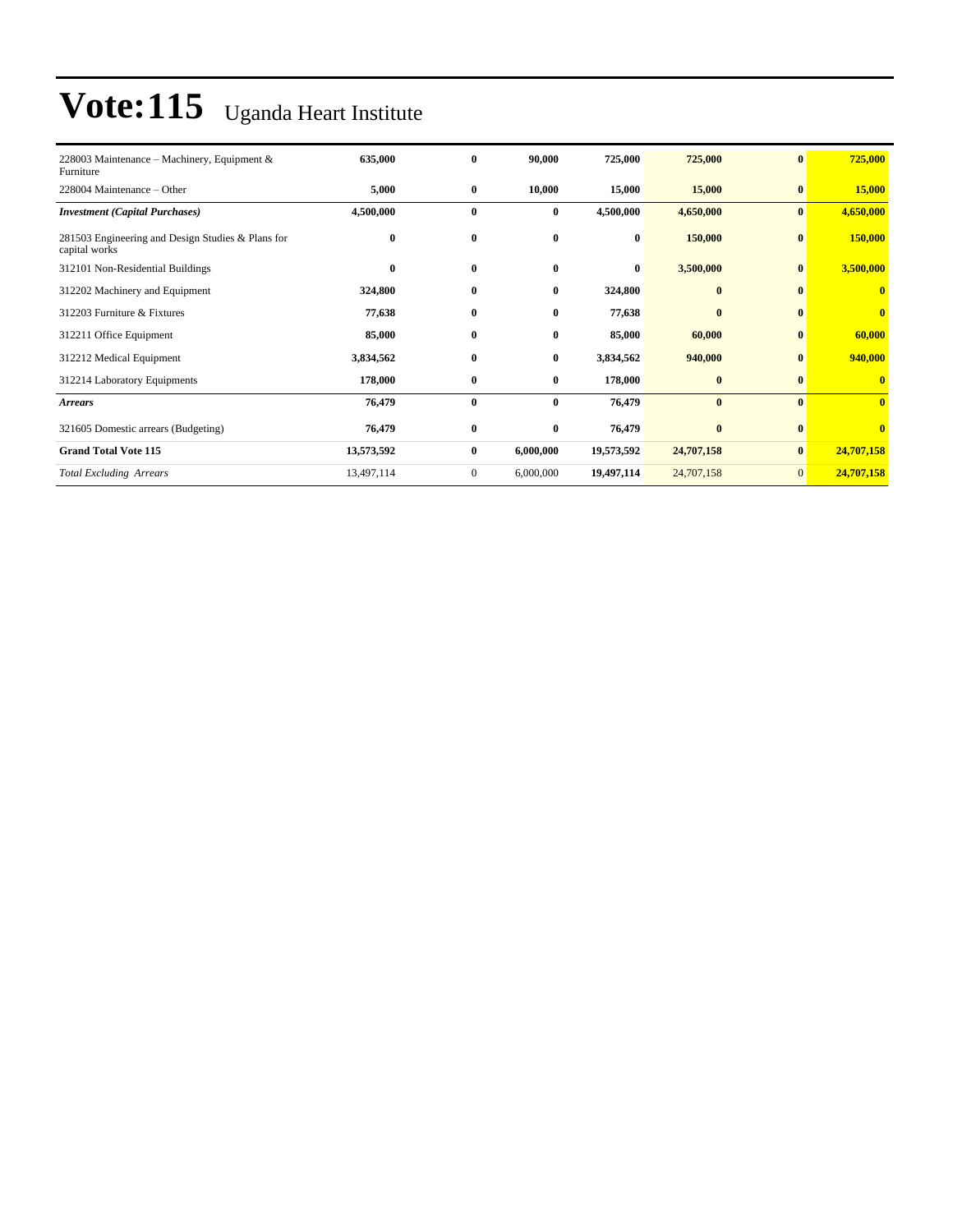| 228003 Maintenance – Machinery, Equipment &                        | 635,000    | $\bf{0}$     | 90,000       | 725,000    | 725,000      | $\bf{0}$       | 725,000    |
|--------------------------------------------------------------------|------------|--------------|--------------|------------|--------------|----------------|------------|
| Furniture                                                          |            |              |              |            |              |                |            |
| 228004 Maintenance – Other                                         | 5,000      | $\bf{0}$     | 10,000       | 15,000     | 15,000       | $\bf{0}$       | 15,000     |
| <b>Investment</b> (Capital Purchases)                              | 4,500,000  | $\bf{0}$     | $\bf{0}$     | 4,500,000  | 4,650,000    | $\bf{0}$       | 4,650,000  |
| 281503 Engineering and Design Studies & Plans for<br>capital works | $\bf{0}$   | $\bf{0}$     | $\bf{0}$     | $\bf{0}$   | 150,000      | $\bf{0}$       | 150,000    |
| 312101 Non-Residential Buildings                                   | $\bf{0}$   | $\bf{0}$     | $\bf{0}$     | $\bf{0}$   | 3,500,000    | $\bf{0}$       | 3,500,000  |
| 312202 Machinery and Equipment                                     | 324,800    | $\bf{0}$     | $\bf{0}$     | 324,800    | $\bf{0}$     | $\bf{0}$       | $\bf{0}$   |
| 312203 Furniture & Fixtures                                        | 77,638     | $\bf{0}$     | $\mathbf{0}$ | 77,638     | $\mathbf{0}$ | $\mathbf{0}$   | $\bf{0}$   |
| 312211 Office Equipment                                            | 85,000     | $\bf{0}$     | $\bf{0}$     | 85,000     | 60,000       | $\bf{0}$       | 60,000     |
| 312212 Medical Equipment                                           | 3,834,562  | $\bf{0}$     | $\mathbf{0}$ | 3,834,562  | 940,000      | $\mathbf{0}$   | 940,000    |
| 312214 Laboratory Equipments                                       | 178,000    | $\bf{0}$     | $\bf{0}$     | 178,000    | $\bf{0}$     | $\bf{0}$       | $\bf{0}$   |
| <b>Arrears</b>                                                     | 76,479     | $\bf{0}$     | $\bf{0}$     | 76,479     | $\bf{0}$     | $\mathbf{0}$   | $\bf{0}$   |
| 321605 Domestic arrears (Budgeting)                                | 76,479     | $\bf{0}$     | $\bf{0}$     | 76,479     | $\bf{0}$     | $\bf{0}$       | $\bf{0}$   |
| <b>Grand Total Vote 115</b>                                        | 13,573,592 | $\bf{0}$     | 6,000,000    | 19,573,592 | 24,707,158   | $\bf{0}$       | 24,707,158 |
| <b>Total Excluding Arrears</b>                                     | 13,497,114 | $\mathbf{0}$ | 6,000,000    | 19,497,114 | 24,707,158   | $\overline{0}$ | 24,707,158 |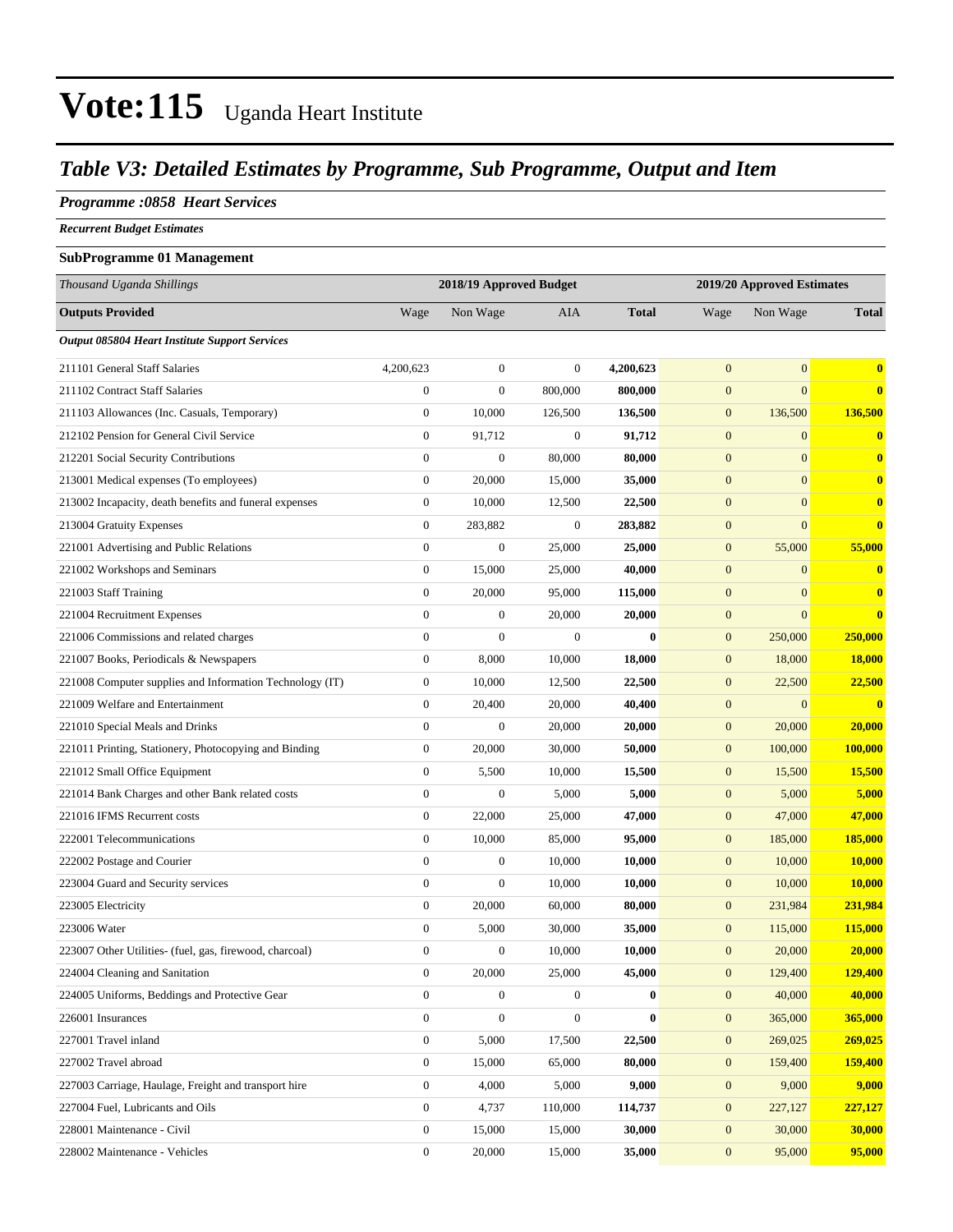### *Table V3: Detailed Estimates by Programme, Sub Programme, Output and Item*

#### *Programme :0858 Heart Services*

*Recurrent Budget Estimates*

#### **SubProgramme 01 Management**

| Thousand Uganda Shillings                                |                  | 2018/19 Approved Budget |                  |              | 2019/20 Approved Estimates |              |              |
|----------------------------------------------------------|------------------|-------------------------|------------------|--------------|----------------------------|--------------|--------------|
| <b>Outputs Provided</b>                                  | Wage             | Non Wage                | <b>AIA</b>       | <b>Total</b> | Wage                       | Non Wage     | <b>Total</b> |
| <b>Output 085804 Heart Institute Support Services</b>    |                  |                         |                  |              |                            |              |              |
| 211101 General Staff Salaries                            | 4,200,623        | $\boldsymbol{0}$        | $\boldsymbol{0}$ | 4,200,623    | $\mathbf{0}$               | $\mathbf{0}$ | $\bf{0}$     |
| 211102 Contract Staff Salaries                           | $\boldsymbol{0}$ | $\boldsymbol{0}$        | 800,000          | 800,000      | $\boldsymbol{0}$           | $\mathbf{0}$ | $\bf{0}$     |
| 211103 Allowances (Inc. Casuals, Temporary)              | $\boldsymbol{0}$ | 10,000                  | 126,500          | 136,500      | $\mathbf{0}$               | 136,500      | 136,500      |
| 212102 Pension for General Civil Service                 | $\boldsymbol{0}$ | 91,712                  | $\boldsymbol{0}$ | 91,712       | $\boldsymbol{0}$           | $\mathbf{0}$ | $\bf{0}$     |
| 212201 Social Security Contributions                     | $\boldsymbol{0}$ | $\boldsymbol{0}$        | 80,000           | 80,000       | $\boldsymbol{0}$           | $\mathbf{0}$ | $\mathbf{0}$ |
| 213001 Medical expenses (To employees)                   | $\boldsymbol{0}$ | 20,000                  | 15,000           | 35,000       | $\mathbf{0}$               | $\mathbf{0}$ | $\bf{0}$     |
| 213002 Incapacity, death benefits and funeral expenses   | $\boldsymbol{0}$ | 10,000                  | 12,500           | 22,500       | $\boldsymbol{0}$           | $\mathbf{0}$ | $\bf{0}$     |
| 213004 Gratuity Expenses                                 | $\boldsymbol{0}$ | 283,882                 | $\boldsymbol{0}$ | 283,882      | $\boldsymbol{0}$           | $\mathbf{0}$ | $\bf{0}$     |
| 221001 Advertising and Public Relations                  | $\boldsymbol{0}$ | $\boldsymbol{0}$        | 25,000           | 25,000       | $\boldsymbol{0}$           | 55,000       | 55,000       |
| 221002 Workshops and Seminars                            | $\boldsymbol{0}$ | 15,000                  | 25,000           | 40,000       | $\boldsymbol{0}$           | $\mathbf{0}$ | $\mathbf{0}$ |
| 221003 Staff Training                                    | $\boldsymbol{0}$ | 20,000                  | 95,000           | 115,000      | $\mathbf{0}$               | $\mathbf{0}$ | $\bf{0}$     |
| 221004 Recruitment Expenses                              | $\overline{0}$   | $\boldsymbol{0}$        | 20,000           | 20,000       | $\boldsymbol{0}$           | $\mathbf{0}$ | $\bf{0}$     |
| 221006 Commissions and related charges                   | $\boldsymbol{0}$ | $\overline{0}$          | $\overline{0}$   | $\mathbf{0}$ | $\mathbf{0}$               | 250,000      | 250,000      |
| 221007 Books, Periodicals & Newspapers                   | $\boldsymbol{0}$ | 8,000                   | 10,000           | 18,000       | $\boldsymbol{0}$           | 18,000       | 18,000       |
| 221008 Computer supplies and Information Technology (IT) | $\boldsymbol{0}$ | 10,000                  | 12,500           | 22,500       | $\boldsymbol{0}$           | 22,500       | 22,500       |
| 221009 Welfare and Entertainment                         | $\boldsymbol{0}$ | 20,400                  | 20,000           | 40,400       | $\boldsymbol{0}$           | $\mathbf{0}$ | $\mathbf{0}$ |
| 221010 Special Meals and Drinks                          | $\boldsymbol{0}$ | $\boldsymbol{0}$        | 20,000           | 20,000       | $\boldsymbol{0}$           | 20,000       | 20,000       |
| 221011 Printing, Stationery, Photocopying and Binding    | $\boldsymbol{0}$ | 20,000                  | 30,000           | 50,000       | $\boldsymbol{0}$           | 100,000      | 100,000      |
| 221012 Small Office Equipment                            | $\boldsymbol{0}$ | 5,500                   | 10,000           | 15,500       | $\boldsymbol{0}$           | 15,500       | 15,500       |
| 221014 Bank Charges and other Bank related costs         | $\boldsymbol{0}$ | $\boldsymbol{0}$        | 5,000            | 5,000        | $\boldsymbol{0}$           | 5,000        | 5,000        |
| 221016 IFMS Recurrent costs                              | $\boldsymbol{0}$ | 22,000                  | 25,000           | 47,000       | $\boldsymbol{0}$           | 47,000       | 47,000       |
| 222001 Telecommunications                                | $\boldsymbol{0}$ | 10,000                  | 85,000           | 95,000       | $\boldsymbol{0}$           | 185,000      | 185,000      |
| 222002 Postage and Courier                               | $\boldsymbol{0}$ | $\boldsymbol{0}$        | 10,000           | 10,000       | $\mathbf{0}$               | 10,000       | 10,000       |
| 223004 Guard and Security services                       | $\boldsymbol{0}$ | $\boldsymbol{0}$        | 10,000           | 10,000       | $\boldsymbol{0}$           | 10,000       | 10,000       |
| 223005 Electricity                                       | $\boldsymbol{0}$ | 20,000                  | 60,000           | 80,000       | $\boldsymbol{0}$           | 231,984      | 231,984      |
| 223006 Water                                             | $\boldsymbol{0}$ | 5,000                   | 30,000           | 35,000       | $\boldsymbol{0}$           | 115,000      | 115,000      |
| 223007 Other Utilities- (fuel, gas, firewood, charcoal)  | $\boldsymbol{0}$ | $\boldsymbol{0}$        | 10,000           | 10,000       | $\boldsymbol{0}$           | 20,000       | 20,000       |
| 224004 Cleaning and Sanitation                           | 0                | 20,000                  | 25,000           | 45,000       | $\boldsymbol{0}$           | 129,400      | 129,400      |
| 224005 Uniforms, Beddings and Protective Gear            | $\overline{0}$   | $\boldsymbol{0}$        | $\boldsymbol{0}$ | $\bf{0}$     | $\boldsymbol{0}$           | 40,000       | 40,000       |
| 226001 Insurances                                        | $\boldsymbol{0}$ | $\boldsymbol{0}$        | $\boldsymbol{0}$ | $\bf{0}$     | $\boldsymbol{0}$           | 365,000      | 365,000      |
| 227001 Travel inland                                     | $\boldsymbol{0}$ | 5,000                   | 17,500           | 22,500       | $\boldsymbol{0}$           | 269,025      | 269,025      |
| 227002 Travel abroad                                     | $\boldsymbol{0}$ | 15,000                  | 65,000           | 80,000       | $\mathbf{0}$               | 159,400      | 159,400      |
| 227003 Carriage, Haulage, Freight and transport hire     | $\boldsymbol{0}$ | 4,000                   | 5,000            | 9,000        | $\boldsymbol{0}$           | 9,000        | 9,000        |
| 227004 Fuel, Lubricants and Oils                         | $\boldsymbol{0}$ | 4,737                   | 110,000          | 114,737      | $\boldsymbol{0}$           | 227,127      | 227,127      |
| 228001 Maintenance - Civil                               | $\boldsymbol{0}$ | 15,000                  | 15,000           | 30,000       | $\boldsymbol{0}$           | 30,000       | 30,000       |
| 228002 Maintenance - Vehicles                            | $\boldsymbol{0}$ | 20,000                  | 15,000           | 35,000       | $\mathbf{0}$               | 95,000       | 95,000       |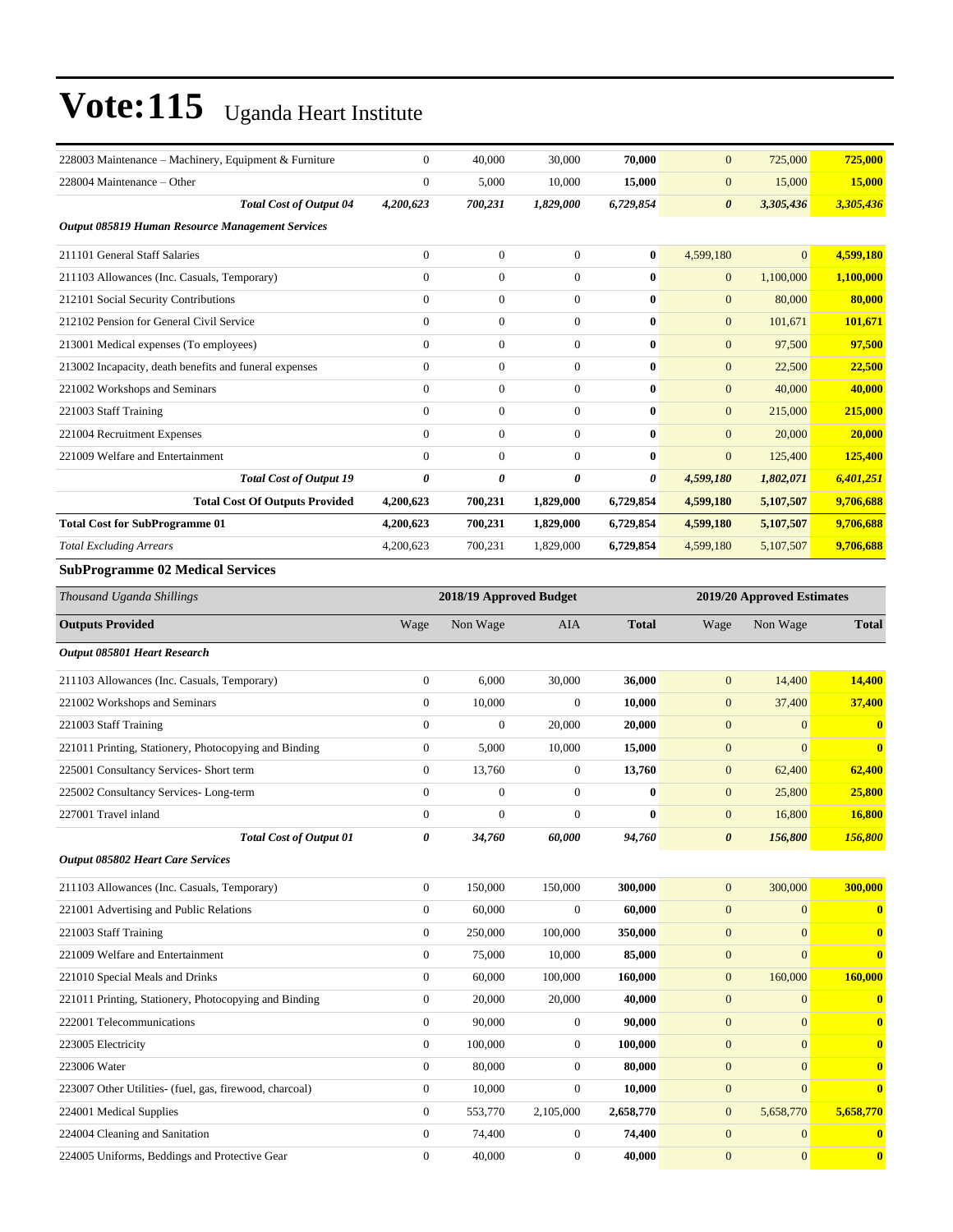| 228003 Maintenance - Machinery, Equipment & Furniture                           | $\mathbf{0}$          | 40,000                  | 30,000                               | 70,000                     | $\mathbf{0}$          | 725,000                      | 725,000      |
|---------------------------------------------------------------------------------|-----------------------|-------------------------|--------------------------------------|----------------------------|-----------------------|------------------------------|--------------|
| 228004 Maintenance - Other                                                      | $\mathbf{0}$          | 5,000                   | 10,000                               | 15,000                     | $\mathbf{0}$          | 15,000                       | 15,000       |
| <b>Total Cost of Output 04</b>                                                  | 4,200,623             | 700,231                 | 1,829,000                            | 6,729,854                  | 0                     | 3,305,436                    | 3,305,436    |
| <b>Output 085819 Human Resource Management Services</b>                         |                       |                         |                                      |                            |                       |                              |              |
|                                                                                 |                       |                         |                                      |                            |                       |                              |              |
| 211101 General Staff Salaries                                                   | $\mathbf{0}$          | $\boldsymbol{0}$        | $\boldsymbol{0}$                     | $\bf{0}$                   | 4,599,180             | $\Omega$                     | 4,599,180    |
| 211103 Allowances (Inc. Casuals, Temporary)                                     | $\mathbf{0}$          | $\boldsymbol{0}$        | $\overline{0}$                       | $\bf{0}$                   | $\boldsymbol{0}$      | 1,100,000                    | 1,100,000    |
| 212101 Social Security Contributions                                            | $\mathbf{0}$          | $\boldsymbol{0}$        | $\boldsymbol{0}$                     | $\bf{0}$                   | $\mathbf{0}$          | 80,000                       | 80,000       |
| 212102 Pension for General Civil Service                                        | $\mathbf{0}$          | $\boldsymbol{0}$        | $\boldsymbol{0}$                     | $\bf{0}$                   | $\mathbf{0}$          | 101,671                      | 101,671      |
| 213001 Medical expenses (To employees)                                          | $\mathbf{0}$          | $\boldsymbol{0}$        | $\mathbf{0}$                         | $\bf{0}$                   | $\mathbf{0}$          | 97,500                       | 97.500       |
| 213002 Incapacity, death benefits and funeral expenses                          | $\mathbf{0}$          | $\boldsymbol{0}$        | $\boldsymbol{0}$                     | $\bf{0}$                   | $\mathbf{0}$          | 22,500                       | 22,500       |
| 221002 Workshops and Seminars                                                   | $\mathbf{0}$          | $\boldsymbol{0}$        | $\overline{0}$                       | $\bf{0}$                   | $\mathbf{0}$          | 40,000                       | 40,000       |
| 221003 Staff Training                                                           | $\mathbf{0}$          | $\boldsymbol{0}$        | $\boldsymbol{0}$                     | $\bf{0}$                   | $\mathbf{0}$          | 215,000                      | 215,000      |
| 221004 Recruitment Expenses                                                     | $\mathbf{0}$          | $\boldsymbol{0}$        | $\boldsymbol{0}$                     | $\bf{0}$                   | $\mathbf{0}$          | 20,000                       | 20,000       |
| 221009 Welfare and Entertainment                                                | $\mathbf{0}$          | $\boldsymbol{0}$        | $\mathbf{0}$                         | $\bf{0}$                   | $\boldsymbol{0}$      | 125,400                      | 125,400      |
| <b>Total Cost of Output 19</b>                                                  | 0                     | 0                       | 0                                    | 0                          | 4,599,180             | 1,802,071                    | 6,401,251    |
| <b>Total Cost Of Outputs Provided</b>                                           | 4,200,623             | 700,231                 | 1,829,000                            | 6,729,854                  | 4,599,180             | 5,107,507                    | 9,706,688    |
| <b>Total Cost for SubProgramme 01</b>                                           | 4,200,623             | 700,231                 | 1,829,000                            | 6,729,854                  | 4,599,180             | 5,107,507                    | 9,706,688    |
| <b>Total Excluding Arrears</b>                                                  | 4,200,623             | 700,231                 | 1,829,000                            | 6,729,854                  | 4,599,180             | 5,107,507                    | 9,706,688    |
| <b>SubProgramme 02 Medical Services</b>                                         |                       |                         |                                      |                            |                       |                              |              |
| Thousand Uganda Shillings                                                       |                       | 2018/19 Approved Budget |                                      | 2019/20 Approved Estimates |                       |                              |              |
| <b>Outputs Provided</b>                                                         | Wage                  | Non Wage                | AIA                                  | <b>Total</b>               | Wage                  | Non Wage                     | <b>Total</b> |
| Output 085801 Heart Research                                                    |                       |                         |                                      |                            |                       |                              |              |
| 211103 Allowances (Inc. Casuals, Temporary)                                     | $\mathbf{0}$          | 6,000                   | 30,000                               | 36,000                     | $\mathbf{0}$          | 14,400                       | 14,400       |
| 221002 Workshops and Seminars                                                   | $\mathbf{0}$          | 10,000                  | $\mathbf{0}$                         | 10,000                     | $\mathbf{0}$          | 37,400                       | 37,400       |
| 221003 Staff Training                                                           | $\mathbf{0}$          | $\boldsymbol{0}$        | 20,000                               | 20,000                     | $\boldsymbol{0}$      | $\mathbf{0}$                 | $\mathbf{0}$ |
| 221011 Printing, Stationery, Photocopying and Binding                           | $\boldsymbol{0}$      | 5,000                   | 10,000                               | 15,000                     | $\mathbf{0}$          | $\mathbf{0}$                 | $\mathbf{0}$ |
| 225001 Consultancy Services- Short term                                         | $\boldsymbol{0}$      | 13,760                  | $\boldsymbol{0}$                     | 13,760                     | $\mathbf{0}$          | 62,400                       | 62,400       |
| 225002 Consultancy Services-Long-term                                           | $\mathbf{0}$          | $\boldsymbol{0}$        | $\boldsymbol{0}$                     | $\bf{0}$                   | $\mathbf{0}$          | 25,800                       | 25,800       |
| 227001 Travel inland                                                            | $\mathbf{0}$          | $\boldsymbol{0}$        | $\mathbf{0}$                         | $\mathbf{0}$               | $\mathbf{0}$          | 16,800                       | 16,800       |
| <b>Total Cost of Output 01</b>                                                  | $\boldsymbol{\theta}$ | 34,760                  | 60,000                               | 94,760                     | $\boldsymbol{\theta}$ | 156,800                      | 156,800      |
| <b>Output 085802 Heart Care Services</b>                                        |                       |                         |                                      |                            |                       |                              |              |
| 211103 Allowances (Inc. Casuals, Temporary)                                     | $\boldsymbol{0}$      | 150,000                 | 150,000                              | 300,000                    | $\mathbf{0}$          | 300,000                      | 300,000      |
| 221001 Advertising and Public Relations                                         | $\boldsymbol{0}$      | 60,000                  | $\boldsymbol{0}$                     | 60,000                     | $\boldsymbol{0}$      | $\boldsymbol{0}$             | $\mathbf{0}$ |
| 221003 Staff Training                                                           | $\boldsymbol{0}$      | 250,000                 | 100,000                              | 350,000                    | $\boldsymbol{0}$      | $\mathbf{0}$                 | $\mathbf{0}$ |
| 221009 Welfare and Entertainment                                                | $\boldsymbol{0}$      | 75,000                  | 10,000                               | 85,000                     | $\boldsymbol{0}$      | $\mathbf{0}$                 | $\bf{0}$     |
| 221010 Special Meals and Drinks                                                 | $\boldsymbol{0}$      | 60,000                  | 100,000                              | 160,000                    | $\boldsymbol{0}$      | 160,000                      | 160,000      |
| 221011 Printing, Stationery, Photocopying and Binding                           | $\boldsymbol{0}$      | 20,000                  | 20,000                               | 40,000                     | $\boldsymbol{0}$      | $\boldsymbol{0}$             | $\mathbf{0}$ |
| 222001 Telecommunications                                                       | $\boldsymbol{0}$      | 90,000                  | $\boldsymbol{0}$                     | 90,000                     | $\boldsymbol{0}$      | $\mathbf{0}$                 | $\bf{0}$     |
| 223005 Electricity                                                              | $\boldsymbol{0}$      | 100,000                 | $\boldsymbol{0}$                     | 100,000                    | $\boldsymbol{0}$      | $\mathbf{0}$                 | $\bf{0}$     |
| 223006 Water                                                                    | $\boldsymbol{0}$      | 80,000                  | $\boldsymbol{0}$                     | 80,000                     | $\boldsymbol{0}$      | $\mathbf{0}$                 | $\bf{0}$     |
| 223007 Other Utilities- (fuel, gas, firewood, charcoal)                         | $\boldsymbol{0}$      | 10,000                  | $\boldsymbol{0}$                     | 10,000                     | $\boldsymbol{0}$      | $\mathbf{0}$                 | $\bf{0}$     |
| 224001 Medical Supplies                                                         | $\boldsymbol{0}$      | 553,770                 | 2,105,000                            | 2,658,770                  | $\boldsymbol{0}$      | 5,658,770                    | 5,658,770    |
|                                                                                 | $\boldsymbol{0}$      |                         |                                      |                            | $\boldsymbol{0}$      |                              |              |
| 224004 Cleaning and Sanitation<br>224005 Uniforms, Beddings and Protective Gear | $\boldsymbol{0}$      | 74,400                  | $\boldsymbol{0}$<br>$\boldsymbol{0}$ | 74,400                     |                       | $\mathbf{0}$<br>$\mathbf{0}$ | $\mathbf{0}$ |
|                                                                                 |                       | 40,000                  |                                      | 40,000                     | $\boldsymbol{0}$      |                              | $\mathbf{0}$ |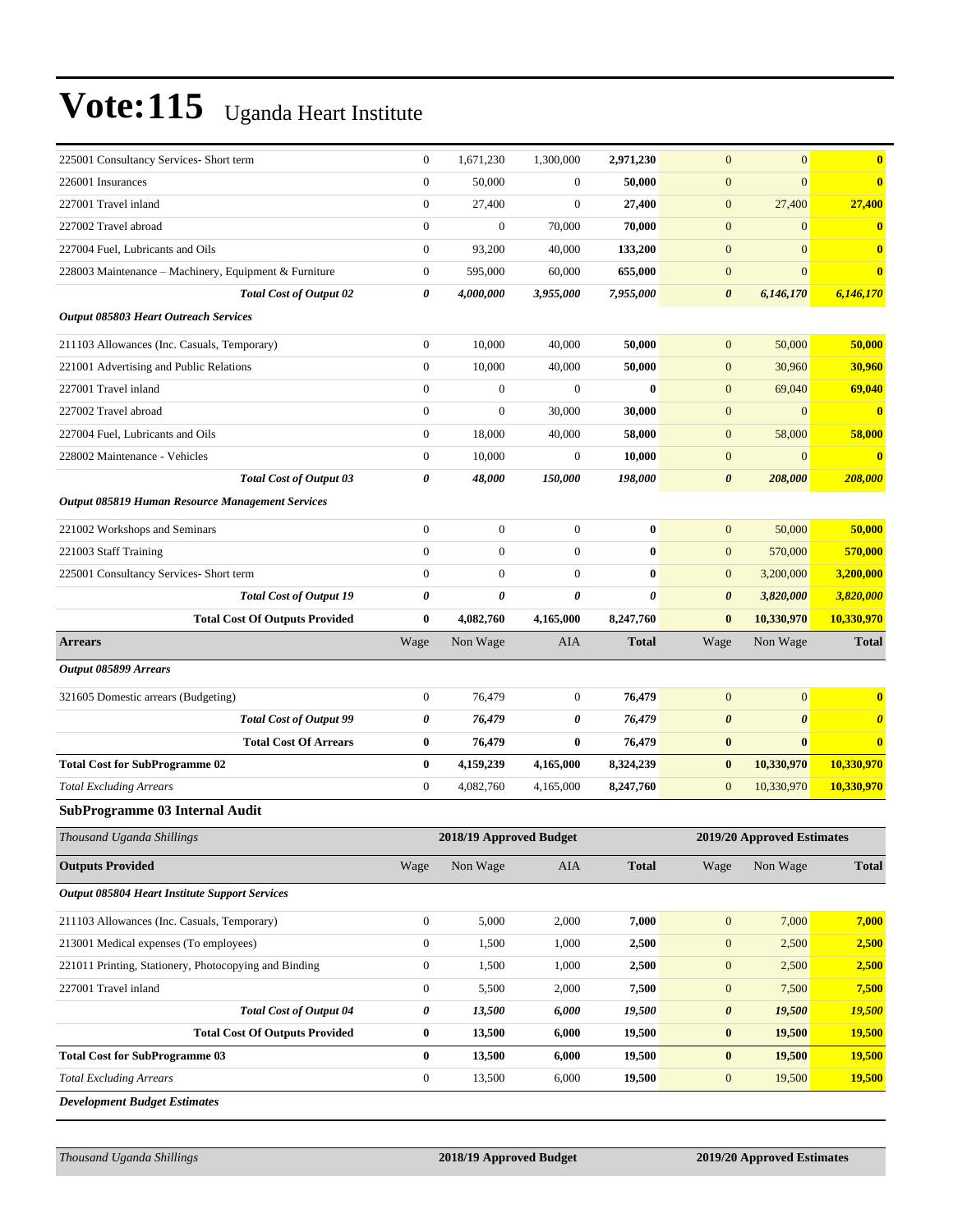| 225001 Consultancy Services- Short term                                                         | $\mathbf{0}$                         | 1,671,230               | 1,300,000             | 2,971,230             | $\mathbf{0}$                 | $\mathbf{0}$               | $\bf{0}$              |
|-------------------------------------------------------------------------------------------------|--------------------------------------|-------------------------|-----------------------|-----------------------|------------------------------|----------------------------|-----------------------|
| 226001 Insurances                                                                               | $\overline{0}$                       | 50,000                  | $\boldsymbol{0}$      | 50,000                | $\boldsymbol{0}$             | $\Omega$                   | $\mathbf{0}$          |
| 227001 Travel inland                                                                            | $\boldsymbol{0}$                     | 27,400                  | $\theta$              | 27,400                | $\boldsymbol{0}$             | 27,400                     | 27,400                |
| 227002 Travel abroad                                                                            | $\boldsymbol{0}$                     | $\mathbf{0}$            | 70,000                | 70,000                | $\mathbf{0}$                 | $\mathbf{0}$               |                       |
| 227004 Fuel, Lubricants and Oils                                                                | $\boldsymbol{0}$                     | 93,200                  | 40,000                | 133,200               | $\boldsymbol{0}$             | $\mathbf{0}$               | $\bf{0}$              |
| 228003 Maintenance - Machinery, Equipment & Furniture                                           | $\boldsymbol{0}$                     | 595,000                 | 60,000                | 655,000               | $\mathbf{0}$                 | $\mathbf{0}$               | $\bf{0}$              |
| <b>Total Cost of Output 02</b>                                                                  | 0                                    | 4,000,000               | 3,955,000             | 7,955,000             | $\boldsymbol{\theta}$        | 6,146,170                  | 6,146,170             |
| <b>Output 085803 Heart Outreach Services</b>                                                    |                                      |                         |                       |                       |                              |                            |                       |
| 211103 Allowances (Inc. Casuals, Temporary)                                                     | $\boldsymbol{0}$                     | 10,000                  | 40,000                | 50,000                | $\mathbf{0}$                 | 50,000                     | 50,000                |
| 221001 Advertising and Public Relations                                                         | $\boldsymbol{0}$                     | 10,000                  | 40,000                | 50,000                | $\mathbf{0}$                 | 30,960                     | 30,960                |
| 227001 Travel inland                                                                            | $\overline{0}$                       | $\mathbf{0}$            | $\theta$              | $\bf{0}$              | $\mathbf{0}$                 | 69,040                     | 69,040                |
| 227002 Travel abroad                                                                            | $\mathbf{0}$                         | $\theta$                | 30,000                | 30,000                | $\mathbf{0}$                 | $\Omega$                   | $\mathbf{0}$          |
| 227004 Fuel, Lubricants and Oils                                                                | $\boldsymbol{0}$                     | 18,000                  | 40,000                | 58,000                | $\mathbf{0}$                 | 58,000                     | 58,000                |
| 228002 Maintenance - Vehicles                                                                   | $\boldsymbol{0}$                     | 10,000                  | $\mathbf{0}$          | 10,000                | $\boldsymbol{0}$             | $\mathbf{0}$               | $\bf{0}$              |
| <b>Total Cost of Output 03</b>                                                                  | 0                                    | 48,000                  | 150,000               | 198,000               | $\boldsymbol{\theta}$        | 208,000                    | 208,000               |
| Output 085819 Human Resource Management Services                                                |                                      |                         |                       |                       |                              |                            |                       |
| 221002 Workshops and Seminars                                                                   | $\boldsymbol{0}$                     | $\overline{0}$          | $\boldsymbol{0}$      | $\bf{0}$              | $\mathbf{0}$                 | 50,000                     | 50,000                |
| 221003 Staff Training                                                                           | $\overline{0}$                       | $\theta$                | $\boldsymbol{0}$      | $\bf{0}$              | $\boldsymbol{0}$             | 570,000                    | 570,000               |
| 225001 Consultancy Services- Short term                                                         | $\overline{0}$                       | $\mathbf{0}$            | $\boldsymbol{0}$      | $\bf{0}$              | $\mathbf{0}$                 | 3,200,000                  | 3,200,000             |
| <b>Total Cost of Output 19</b>                                                                  | 0                                    | $\boldsymbol{\theta}$   | $\boldsymbol{\theta}$ | $\boldsymbol{\theta}$ | $\boldsymbol{\theta}$        | 3,820,000                  | 3,820,000             |
| <b>Total Cost Of Outputs Provided</b>                                                           | $\bf{0}$                             | 4,082,760               | 4,165,000             | 8,247,760             | $\bf{0}$                     | 10,330,970                 | 10,330,970            |
| <b>Arrears</b>                                                                                  | Wage                                 | Non Wage                | AIA                   | <b>Total</b>          | Wage                         | Non Wage                   | <b>Total</b>          |
| Output 085899 Arrears                                                                           |                                      |                         |                       |                       |                              |                            |                       |
| 321605 Domestic arrears (Budgeting)                                                             | $\boldsymbol{0}$                     | 76,479                  | $\boldsymbol{0}$      | 76,479                | $\mathbf{0}$                 | $\mathbf{0}$               | $\bf{0}$              |
| <b>Total Cost of Output 99</b>                                                                  | 0                                    | 76,479                  | 0                     | 76,479                | $\boldsymbol{\theta}$        | $\boldsymbol{\theta}$      | $\boldsymbol{\theta}$ |
| <b>Total Cost Of Arrears</b>                                                                    | $\bf{0}$                             | 76,479                  | $\bf{0}$              | 76,479                | $\bf{0}$                     | $\bf{0}$                   | $\bf{0}$              |
| <b>Total Cost for SubProgramme 02</b>                                                           | $\bf{0}$                             |                         |                       |                       |                              |                            |                       |
|                                                                                                 |                                      | 4,159,239               | 4,165,000             | 8,324,239             | $\bf{0}$                     | 10,330,970                 | 10,330,970            |
| <b>Total Excluding Arrears</b>                                                                  | $\boldsymbol{0}$                     | 4,082,760               | 4,165,000             | 8,247,760             | $\mathbf{0}$                 | 10,330,970                 | 10,330,970            |
| <b>SubProgramme 03 Internal Audit</b>                                                           |                                      |                         |                       |                       |                              |                            |                       |
| Thousand Uganda Shillings                                                                       |                                      | 2018/19 Approved Budget |                       |                       |                              | 2019/20 Approved Estimates |                       |
| <b>Outputs Provided</b>                                                                         | Wage                                 | Non Wage                | AIA                   | <b>Total</b>          | Wage                         | Non Wage                   | <b>Total</b>          |
| Output 085804 Heart Institute Support Services                                                  |                                      |                         |                       |                       |                              |                            |                       |
|                                                                                                 |                                      |                         |                       |                       |                              |                            |                       |
| 211103 Allowances (Inc. Casuals, Temporary)                                                     | $\boldsymbol{0}$<br>$\boldsymbol{0}$ | 5,000                   | 2,000                 | 7,000                 | $\boldsymbol{0}$             | 7,000                      | 7,000                 |
| 213001 Medical expenses (To employees)<br>221011 Printing, Stationery, Photocopying and Binding | $\boldsymbol{0}$                     | 1,500<br>1,500          | 1,000<br>1,000        | 2,500<br>2,500        | $\mathbf{0}$<br>$\mathbf{0}$ | 2,500<br>2,500             | 2,500                 |
| 227001 Travel inland                                                                            | $\boldsymbol{0}$                     | 5,500                   | 2,000                 | 7,500                 | $\mathbf{0}$                 | 7,500                      | 2,500<br>7,500        |
| <b>Total Cost of Output 04</b>                                                                  | 0                                    | 13,500                  | 6,000                 | 19,500                | $\boldsymbol{\theta}$        | 19,500                     | 19,500                |
| <b>Total Cost Of Outputs Provided</b>                                                           | $\bf{0}$                             | 13,500                  | 6,000                 | 19,500                | $\bf{0}$                     | 19,500                     | 19,500                |
| <b>Total Cost for SubProgramme 03</b>                                                           | $\bf{0}$                             | 13,500                  | 6,000                 | 19,500                | $\bf{0}$                     | 19,500                     | 19,500                |
| <b>Total Excluding Arrears</b>                                                                  | $\boldsymbol{0}$                     | 13,500                  | 6,000                 | 19,500                | $\mathbf{0}$                 | 19,500                     | 19,500                |

*Thousand Uganda Shillings* **2018/19 Approved Budget 2019/20 Approved Estimates**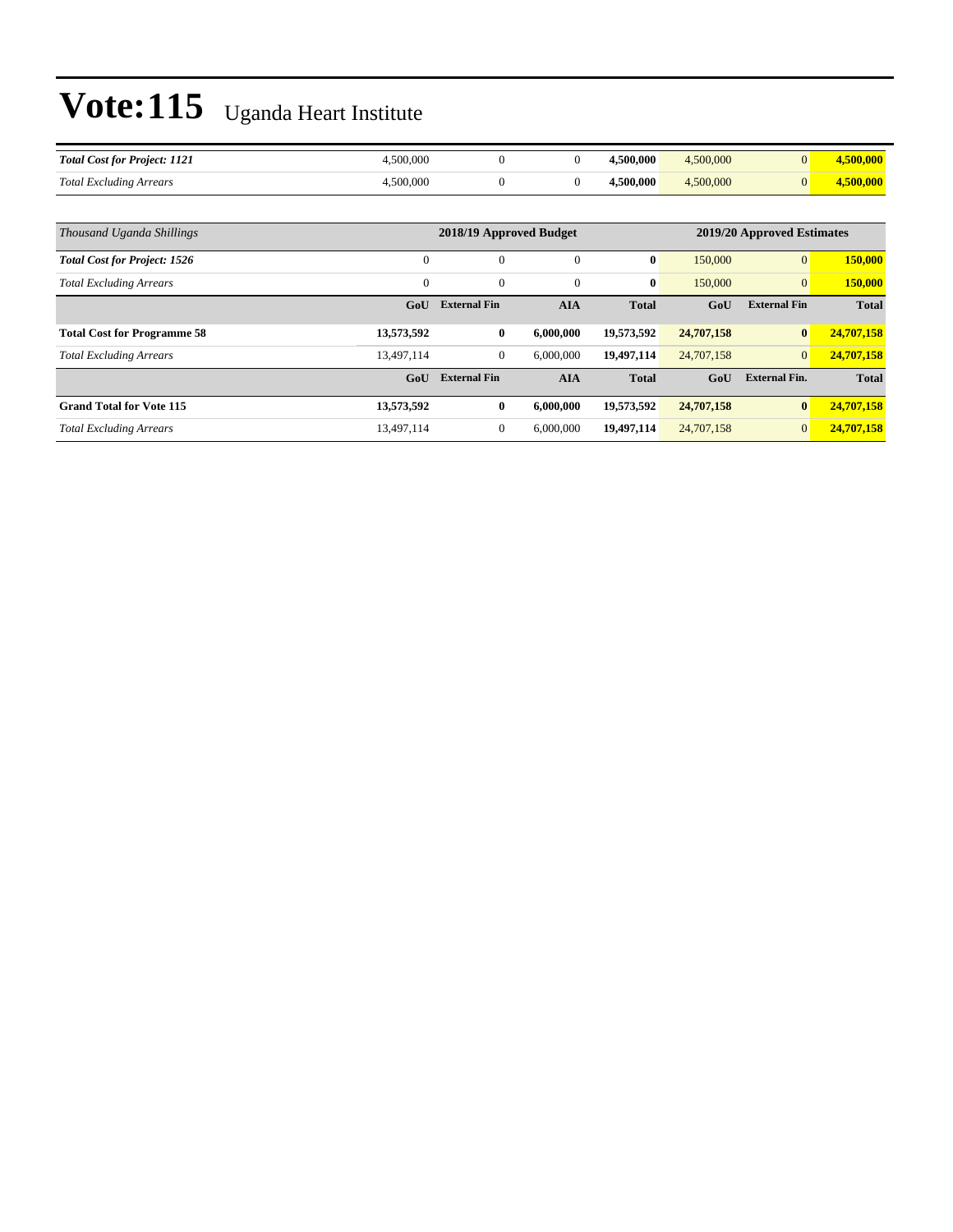| <b>Total Cost for Project: 1121</b> | .500.000 |  | +500,000  | 4,500,000 |  |
|-------------------------------------|----------|--|-----------|-----------|--|
| <b>Total Excluding Arrears</b>      | .500.000 |  | 1.500.000 | .500,000  |  |

| Thousand Uganda Shillings           |                | 2018/19 Approved Budget | 2019/20 Approved Estimates |              |            |                      |              |
|-------------------------------------|----------------|-------------------------|----------------------------|--------------|------------|----------------------|--------------|
|                                     |                |                         |                            |              |            |                      |              |
| <b>Total Cost for Project: 1526</b> | 0              | $\mathbf{0}$            | $\theta$                   | $\bf{0}$     | 150,000    | $\overline{0}$       | 150,000      |
| <b>Total Excluding Arrears</b>      | $\overline{0}$ | $\mathbf{0}$            | 0                          | $\bf{0}$     | 150,000    | $\mathbf{0}$         | 150,000      |
|                                     | GoU            | <b>External Fin</b>     | <b>AIA</b>                 | <b>Total</b> | GoU        | <b>External Fin</b>  | <b>Total</b> |
| <b>Total Cost for Programme 58</b>  | 13,573,592     | $\bf{0}$                | 6,000,000                  | 19,573,592   | 24,707,158 | $\bf{0}$             | 24,707,158   |
| <b>Total Excluding Arrears</b>      | 13.497.114     | $\mathbf{0}$            | 6,000,000                  | 19.497.114   | 24,707,158 | $\overline{0}$       | 24,707,158   |
|                                     | GoU            | <b>External Fin</b>     | <b>AIA</b>                 | <b>Total</b> | GoU        | <b>External Fin.</b> | <b>Total</b> |
| <b>Grand Total for Vote 115</b>     | 13,573,592     | $\bf{0}$                | 6.000.000                  | 19,573,592   | 24,707,158 | $\bf{0}$             | 24,707,158   |
| <b>Total Excluding Arrears</b>      | 13,497,114     | $\mathbf{0}$            | 6.000,000                  | 19,497,114   | 24,707,158 | $\mathbf{0}$         | 24,707,158   |